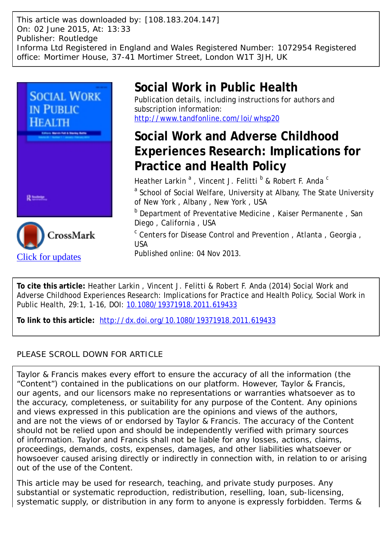This article was downloaded by: [108.183.204.147] On: 02 June 2015, At: 13:33 Publisher: Routledge Informa Ltd Registered in England and Wales Registered Number: 1072954 Registered office: Mortimer House, 37-41 Mortimer Street, London W1T 3JH, UK



# **Social Work in Public Health**

Publication details, including instructions for authors and subscription information: <http://www.tandfonline.com/loi/whsp20>

# **Social Work and Adverse Childhood Experiences Research: Implications for Practice and Health Policy**

Heather Larkin  $^{\rm a}$  , Vincent J. Felitti  $^{\rm b}$  & Robert F. Anda  $^{\rm c}$ <sup>a</sup> School of Social Welfare, University at Albany, The State University of New York , Albany , New York , USA <sup>b</sup> Department of Preventative Medicine, Kaiser Permanente, San

Diego , California , USA <sup>c</sup> Centers for Disease Control and Prevention, Atlanta, Georgia, USA

Published online: 04 Nov 2013.

**To cite this article:** Heather Larkin , Vincent J. Felitti & Robert F. Anda (2014) Social Work and Adverse Childhood Experiences Research: Implications for Practice and Health Policy, Social Work in Public Health, 29:1, 1-16, DOI: [10.1080/19371918.2011.619433](http://www.tandfonline.com/action/showCitFormats?doi=10.1080/19371918.2011.619433)

**To link to this article:** <http://dx.doi.org/10.1080/19371918.2011.619433>

# PLEASE SCROLL DOWN FOR ARTICLE

Taylor & Francis makes every effort to ensure the accuracy of all the information (the "Content") contained in the publications on our platform. However, Taylor & Francis, our agents, and our licensors make no representations or warranties whatsoever as to the accuracy, completeness, or suitability for any purpose of the Content. Any opinions and views expressed in this publication are the opinions and views of the authors, and are not the views of or endorsed by Taylor & Francis. The accuracy of the Content should not be relied upon and should be independently verified with primary sources of information. Taylor and Francis shall not be liable for any losses, actions, claims, proceedings, demands, costs, expenses, damages, and other liabilities whatsoever or howsoever caused arising directly or indirectly in connection with, in relation to or arising out of the use of the Content.

This article may be used for research, teaching, and private study purposes. Any substantial or systematic reproduction, redistribution, reselling, loan, sub-licensing, systematic supply, or distribution in any form to anyone is expressly forbidden. Terms &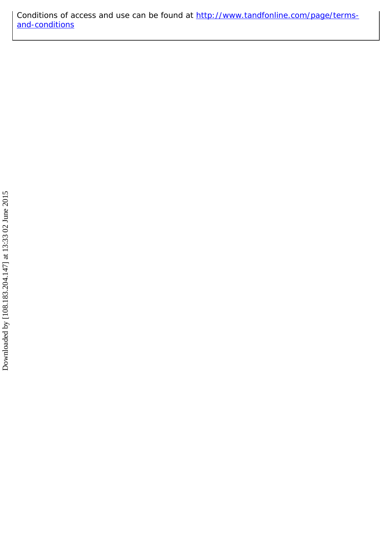Conditions of access and use can be found at [http://www.tandfonline.com/page/terms](http://www.tandfonline.com/page/terms-and-conditions)[and-conditions](http://www.tandfonline.com/page/terms-and-conditions)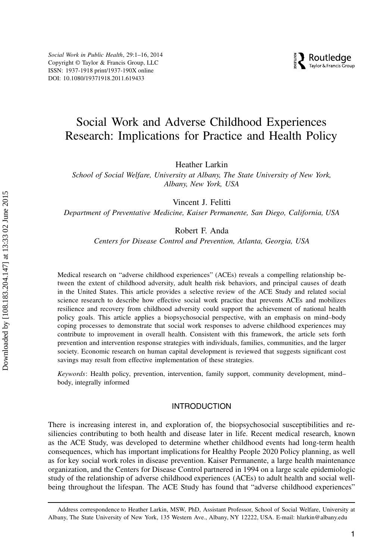# Social Work and Adverse Childhood Experiences Research: Implications for Practice and Health Policy

Heather Larkin

School of Social Welfare, University at Albany, The State University of New York, Albany, New York, USA

Vincent J. Felitti

Department of Preventative Medicine, Kaiser Permanente, San Diego, California, USA

#### Robert F. Anda

Centers for Disease Control and Prevention, Atlanta, Georgia, USA

Medical research on "adverse childhood experiences" (ACEs) reveals a compelling relationship between the extent of childhood adversity, adult health risk behaviors, and principal causes of death in the United States. This article provides a selective review of the ACE Study and related social science research to describe how effective social work practice that prevents ACEs and mobilizes resilience and recovery from childhood adversity could support the achievement of national health policy goals. This article applies a biopsychosocial perspective, with an emphasis on mind–body coping processes to demonstrate that social work responses to adverse childhood experiences may contribute to improvement in overall health. Consistent with this framework, the article sets forth prevention and intervention response strategies with individuals, families, communities, and the larger society. Economic research on human capital development is reviewed that suggests significant cost savings may result from effective implementation of these strategies.

Keywords: Health policy, prevention, intervention, family support, community development, mindbody, integrally informed

# INTRODUCTION

There is increasing interest in, and exploration of, the biopsychosocial susceptibilities and resiliencies contributing to both health and disease later in life. Recent medical research, known as the ACE Study, was developed to determine whether childhood events had long-term health consequences, which has important implications for Healthy People 2020 Policy planning, as well as for key social work roles in disease prevention. Kaiser Permanente, a large health maintenance organization, and the Centers for Disease Control partnered in 1994 on a large scale epidemiologic study of the relationship of adverse childhood experiences (ACEs) to adult health and social wellbeing throughout the lifespan. The ACE Study has found that "adverse childhood experiences"

Address correspondence to Heather Larkin, MSW, PhD, Assistant Professor, School of Social Welfare, University at Albany, The State University of New York, 135 Western Ave., Albany, NY 12222, USA. E-mail: hlarkin@albany.edu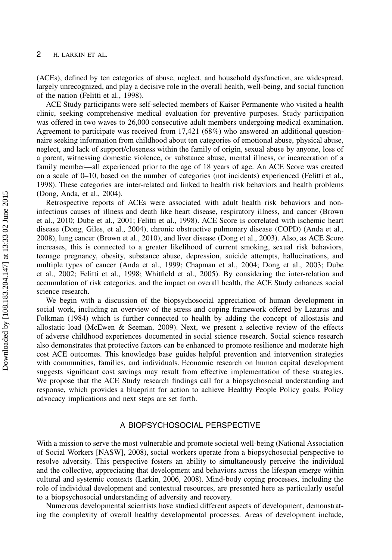(ACEs), defined by ten categories of abuse, neglect, and household dysfunction, are widespread, largely unrecognized, and play a decisive role in the overall health, well-being, and social function of the nation (Felitti et al., 1998).

ACE Study participants were self-selected members of Kaiser Permanente who visited a health clinic, seeking comprehensive medical evaluation for preventive purposes. Study participation was offered in two waves to 26,000 consecutive adult members undergoing medical examination. Agreement to participate was received from 17,421 (68%) who answered an additional questionnaire seeking information from childhood about ten categories of emotional abuse, physical abuse, neglect, and lack of support/closeness within the family of origin, sexual abuse by anyone, loss of a parent, witnessing domestic violence, or substance abuse, mental illness, or incarceration of a family member—all experienced prior to the age of 18 years of age. An ACE Score was created on a scale of 0–10, based on the number of categories (not incidents) experienced (Felitti et al., 1998). These categories are inter-related and linked to health risk behaviors and health problems (Dong, Anda, et al., 2004).

Retrospective reports of ACEs were associated with adult health risk behaviors and noninfectious causes of illness and death like heart disease, respiratory illness, and cancer (Brown et al., 2010; Dube et al., 2001; Felitti et al., 1998). ACE Score is correlated with ischemic heart disease (Dong, Giles, et al., 2004), chronic obstructive pulmonary disease (COPD) (Anda et al., 2008), lung cancer (Brown et al., 2010), and liver disease (Dong et al., 2003). Also, as ACE Score increases, this is connected to a greater likelihood of current smoking, sexual risk behaviors, teenage pregnancy, obesity, substance abuse, depression, suicide attempts, hallucinations, and multiple types of cancer (Anda et al., 1999; Chapman et al., 2004; Dong et al., 2003; Dube et al., 2002; Felitti et al., 1998; Whitfield et al., 2005). By considering the inter-relation and accumulation of risk categories, and the impact on overall health, the ACE Study enhances social science research.

We begin with a discussion of the biopsychosocial appreciation of human development in social work, including an overview of the stress and coping framework offered by Lazarus and Folkman (1984) which is further connected to health by adding the concept of allostasis and allostatic load (McEwen & Seeman, 2009). Next, we present a selective review of the effects of adverse childhood experiences documented in social science research. Social science research also demonstrates that protective factors can be enhanced to promote resilience and moderate high cost ACE outcomes. This knowledge base guides helpful prevention and intervention strategies with communities, families, and individuals. Economic research on human capital development suggests significant cost savings may result from effective implementation of these strategies. We propose that the ACE Study research findings call for a biopsychosocial understanding and response, which provides a blueprint for action to achieve Healthy People Policy goals. Policy advocacy implications and next steps are set forth.

# A BIOPSYCHOSOCIAL PERSPECTIVE

With a mission to serve the most vulnerable and promote societal well-being (National Association of Social Workers [NASW], 2008), social workers operate from a biopsychosocial perspective to resolve adversity. This perspective fosters an ability to simultaneously perceive the individual and the collective, appreciating that development and behaviors across the lifespan emerge within cultural and systemic contexts (Larkin, 2006, 2008). Mind-body coping processes, including the role of individual development and contextual resources, are presented here as particularly useful to a biopsychosocial understanding of adversity and recovery.

Numerous developmental scientists have studied different aspects of development, demonstrating the complexity of overall healthy developmental processes. Areas of development include,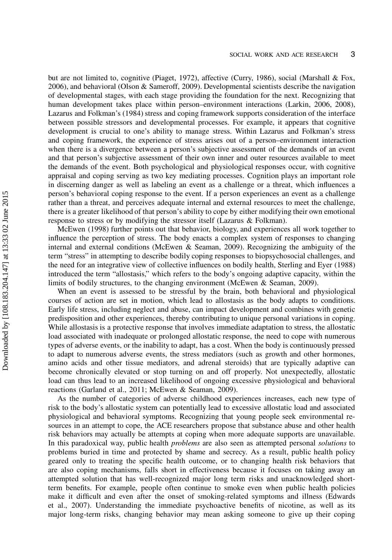but are not limited to, cognitive (Piaget, 1972), affective (Curry, 1986), social (Marshall & Fox, 2006), and behavioral (Olson & Sameroff, 2009). Developmental scientists describe the navigation of developmental stages, with each stage providing the foundation for the next. Recognizing that human development takes place within person–environment interactions (Larkin, 2006, 2008), Lazarus and Folkman's (1984) stress and coping framework supports consideration of the interface between possible stressors and developmental processes. For example, it appears that cognitive development is crucial to one's ability to manage stress. Within Lazarus and Folkman's stress and coping framework, the experience of stress arises out of a person–environment interaction when there is a divergence between a person's subjective assessment of the demands of an event and that person's subjective assessment of their own inner and outer resources available to meet the demands of the event. Both psychological and physiological responses occur, with cognitive appraisal and coping serving as two key mediating processes. Cognition plays an important role in discerning danger as well as labeling an event as a challenge or a threat, which influences a person's behavioral coping response to the event. If a person experiences an event as a challenge rather than a threat, and perceives adequate internal and external resources to meet the challenge, there is a greater likelihood of that person's ability to cope by either modifying their own emotional response to stress or by modifying the stressor itself (Lazarus & Folkman).

McEwen (1998) further points out that behavior, biology, and experiences all work together to influence the perception of stress. The body enacts a complex system of responses to changing internal and external conditions (McEwen & Seaman, 2009). Recognizing the ambiguity of the term "stress" in attempting to describe bodily coping responses to biopsychosocial challenges, and the need for an integrative view of collective influences on bodily health, Sterling and Eyer (1988) introduced the term "allostasis," which refers to the body's ongoing adaptive capacity, within the limits of bodily structures, to the changing environment (McEwen & Seaman, 2009).

When an event is assessed to be stressful by the brain, both behavioral and physiological courses of action are set in motion, which lead to allostasis as the body adapts to conditions. Early life stress, including neglect and abuse, can impact development and combines with genetic predisposition and other experiences, thereby contributing to unique personal variations in coping. While allostasis is a protective response that involves immediate adaptation to stress, the allostatic load associated with inadequate or prolonged allostatic response, the need to cope with numerous types of adverse events, or the inability to adapt, has a cost. When the body is continuously pressed to adapt to numerous adverse events, the stress mediators (such as growth and other hormones, amino acids and other tissue mediators, and adrenal steroids) that are typically adaptive can become chronically elevated or stop turning on and off properly. Not unexpectedly, allostatic load can thus lead to an increased likelihood of ongoing excessive physiological and behavioral reactions (Garland et al., 2011; McEwen & Seaman, 2009).

As the number of categories of adverse childhood experiences increases, each new type of risk to the body's allostatic system can potentially lead to excessive allostatic load and associated physiological and behavioral symptoms. Recognizing that young people seek environmental resources in an attempt to cope, the ACE researchers propose that substance abuse and other health risk behaviors may actually be attempts at coping when more adequate supports are unavailable. In this paradoxical way, public health *problems* are also seen as attempted personal *solutions* to problems buried in time and protected by shame and secrecy. As a result, public health policy geared only to treating the specific health outcome, or to changing health risk behaviors that are also coping mechanisms, falls short in effectiveness because it focuses on taking away an attempted solution that has well-recognized major long term risks and unacknowledged shortterm benefits. For example, people often continue to smoke even when public health policies make it difficult and even after the onset of smoking-related symptoms and illness (Edwards et al., 2007). Understanding the immediate psychoactive benefits of nicotine, as well as its major long-term risks, changing behavior may mean asking someone to give up their coping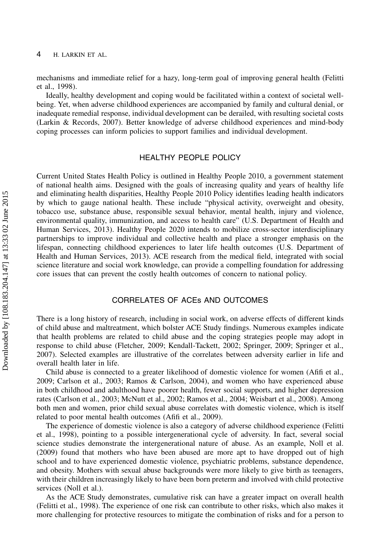mechanisms and immediate relief for a hazy, long-term goal of improving general health (Felitti et al., 1998).

Ideally, healthy development and coping would be facilitated within a context of societal wellbeing. Yet, when adverse childhood experiences are accompanied by family and cultural denial, or inadequate remedial response, individual development can be derailed, with resulting societal costs (Larkin & Records, 2007). Better knowledge of adverse childhood experiences and mind-body coping processes can inform policies to support families and individual development.

# HEALTHY PEOPLE POLICY

Current United States Health Policy is outlined in Healthy People 2010, a government statement of national health aims. Designed with the goals of increasing quality and years of healthy life and eliminating health disparities, Healthy People 2010 Policy identifies leading health indicators by which to gauge national health. These include "physical activity, overweight and obesity, tobacco use, substance abuse, responsible sexual behavior, mental health, injury and violence, environmental quality, immunization, and access to health care" (U.S. Department of Health and Human Services, 2013). Healthy People 2020 intends to mobilize cross-sector interdisciplinary partnerships to improve individual and collective health and place a stronger emphasis on the lifespan, connecting childhood experiences to later life health outcomes (U.S. Department of Health and Human Services, 2013). ACE research from the medical field, integrated with social science literature and social work knowledge, can provide a compelling foundation for addressing core issues that can prevent the costly health outcomes of concern to national policy.

# CORRELATES OF ACEs AND OUTCOMES

There is a long history of research, including in social work, on adverse effects of different kinds of child abuse and maltreatment, which bolster ACE Study findings. Numerous examples indicate that health problems are related to child abuse and the coping strategies people may adopt in response to child abuse (Fletcher, 2009; Kendall-Tackett, 2002; Springer, 2009; Springer et al., 2007). Selected examples are illustrative of the correlates between adversity earlier in life and overall health later in life.

Child abuse is connected to a greater likelihood of domestic violence for women (Afifi et al., 2009; Carlson et al., 2003; Ramos & Carlson, 2004), and women who have experienced abuse in both childhood and adulthood have poorer health, fewer social supports, and higher depression rates (Carlson et al., 2003; McNutt et al., 2002; Ramos et al., 2004; Weisbart et al., 2008). Among both men and women, prior child sexual abuse correlates with domestic violence, which is itself related to poor mental health outcomes (Afifi et al., 2009).

The experience of domestic violence is also a category of adverse childhood experience (Felitti et al., 1998), pointing to a possible intergenerational cycle of adversity. In fact, several social science studies demonstrate the intergenerational nature of abuse. As an example, Noll et al. (2009) found that mothers who have been abused are more apt to have dropped out of high school and to have experienced domestic violence, psychiatric problems, substance dependence, and obesity. Mothers with sexual abuse backgrounds were more likely to give birth as teenagers, with their children increasingly likely to have been born preterm and involved with child protective services (Noll et al.).

As the ACE Study demonstrates, cumulative risk can have a greater impact on overall health (Felitti et al., 1998). The experience of one risk can contribute to other risks, which also makes it more challenging for protective resources to mitigate the combination of risks and for a person to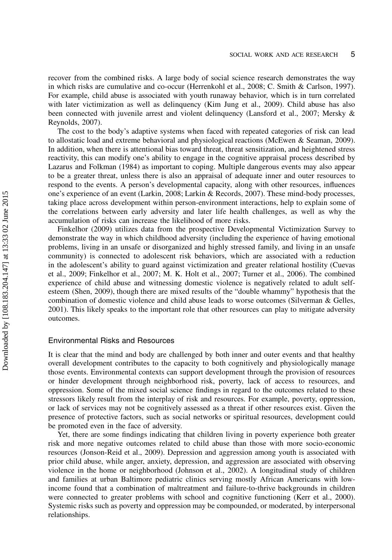recover from the combined risks. A large body of social science research demonstrates the way in which risks are cumulative and co-occur (Herrenkohl et al., 2008; C. Smith & Carlson, 1997). For example, child abuse is associated with youth runaway behavior, which is in turn correlated with later victimization as well as delinquency (Kim Jung et al., 2009). Child abuse has also been connected with juvenile arrest and violent delinquency (Lansford et al., 2007; Mersky & Reynolds, 2007).

The cost to the body's adaptive systems when faced with repeated categories of risk can lead to allostatic load and extreme behavioral and physiological reactions (McEwen & Seaman, 2009). In addition, when there is attentional bias toward threat, threat sensitization, and heightened stress reactivity, this can modify one's ability to engage in the cognitive appraisal process described by Lazarus and Folkman (1984) as important to coping. Multiple dangerous events may also appear to be a greater threat, unless there is also an appraisal of adequate inner and outer resources to respond to the events. A person's developmental capacity, along with other resources, influences one's experience of an event (Larkin, 2008; Larkin & Records, 2007). These mind-body processes, taking place across development within person-environment interactions, help to explain some of the correlations between early adversity and later life health challenges, as well as why the accumulation of risks can increase the likelihood of more risks.

Finkelhor (2009) utilizes data from the prospective Developmental Victimization Survey to demonstrate the way in which childhood adversity (including the experience of having emotional problems, living in an unsafe or disorganized and highly stressed family, and living in an unsafe community) is connected to adolescent risk behaviors, which are associated with a reduction in the adolescent's ability to guard against victimization and greater relational hostility (Cuevas et al., 2009; Finkelhor et al., 2007; M. K. Holt et al., 2007; Turner et al., 2006). The combined experience of child abuse and witnessing domestic violence is negatively related to adult selfesteem (Shen, 2009), though there are mixed results of the "double whammy" hypothesis that the combination of domestic violence and child abuse leads to worse outcomes (Silverman & Gelles, 2001). This likely speaks to the important role that other resources can play to mitigate adversity outcomes.

## Environmental Risks and Resources

It is clear that the mind and body are challenged by both inner and outer events and that healthy overall development contributes to the capacity to both cognitively and physiologically manage those events. Environmental contexts can support development through the provision of resources or hinder development through neighborhood risk, poverty, lack of access to resources, and oppression. Some of the mixed social science findings in regard to the outcomes related to these stressors likely result from the interplay of risk and resources. For example, poverty, oppression, or lack of services may not be cognitively assessed as a threat if other resources exist. Given the presence of protective factors, such as social networks or spiritual resources, development could be promoted even in the face of adversity.

Yet, there are some findings indicating that children living in poverty experience both greater risk and more negative outcomes related to child abuse than those with more socio-economic resources (Jonson-Reid et al., 2009). Depression and aggression among youth is associated with prior child abuse, while anger, anxiety, depression, and aggression are associated with observing violence in the home or neighborhood (Johnson et al., 2002). A longitudinal study of children and families at urban Baltimore pediatric clinics serving mostly African Americans with lowincome found that a combination of maltreatment and failure-to-thrive backgrounds in children were connected to greater problems with school and cognitive functioning (Kerr et al., 2000). Systemic risks such as poverty and oppression may be compounded, or moderated, by interpersonal relationships.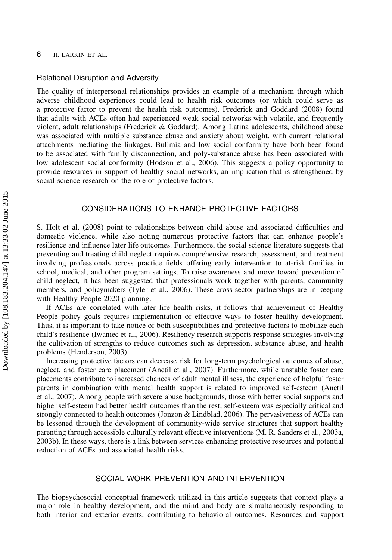### Relational Disruption and Adversity

The quality of interpersonal relationships provides an example of a mechanism through which adverse childhood experiences could lead to health risk outcomes (or which could serve as a protective factor to prevent the health risk outcomes). Frederick and Goddard (2008) found that adults with ACEs often had experienced weak social networks with volatile, and frequently violent, adult relationships (Frederick & Goddard). Among Latina adolescents, childhood abuse was associated with multiple substance abuse and anxiety about weight, with current relational attachments mediating the linkages. Bulimia and low social conformity have both been found to be associated with family disconnection, and poly-substance abuse has been associated with low adolescent social conformity (Hodson et al., 2006). This suggests a policy opportunity to provide resources in support of healthy social networks, an implication that is strengthened by social science research on the role of protective factors.

# CONSIDERATIONS TO ENHANCE PROTECTIVE FACTORS

S. Holt et al. (2008) point to relationships between child abuse and associated difficulties and domestic violence, while also noting numerous protective factors that can enhance people's resilience and influence later life outcomes. Furthermore, the social science literature suggests that preventing and treating child neglect requires comprehensive research, assessment, and treatment involving professionals across practice fields offering early intervention to at-risk families in school, medical, and other program settings. To raise awareness and move toward prevention of child neglect, it has been suggested that professionals work together with parents, community members, and policymakers (Tyler et al., 2006). These cross-sector partnerships are in keeping with Healthy People 2020 planning.

If ACEs are correlated with later life health risks, it follows that achievement of Healthy People policy goals requires implementation of effective ways to foster healthy development. Thus, it is important to take notice of both susceptibilities and protective factors to mobilize each child's resilience (Iwaniec et al., 2006). Resiliency research supports response strategies involving the cultivation of strengths to reduce outcomes such as depression, substance abuse, and health problems (Henderson, 2003).

Increasing protective factors can decrease risk for long-term psychological outcomes of abuse, neglect, and foster care placement (Anctil et al., 2007). Furthermore, while unstable foster care placements contribute to increased chances of adult mental illness, the experience of helpful foster parents in combination with mental health support is related to improved self-esteem (Anctil et al., 2007). Among people with severe abuse backgrounds, those with better social supports and higher self-esteem had better health outcomes than the rest; self-esteem was especially critical and strongly connected to health outcomes (Jonzon & Lindblad, 2006). The pervasiveness of ACEs can be lessened through the development of community-wide service structures that support healthy parenting through accessible culturally relevant effective interventions (M. R. Sanders et al., 2003a, 2003b). In these ways, there is a link between services enhancing protective resources and potential reduction of ACEs and associated health risks.

# SOCIAL WORK PREVENTION AND INTERVENTION

The biopsychosocial conceptual framework utilized in this article suggests that context plays a major role in healthy development, and the mind and body are simultaneously responding to both interior and exterior events, contributing to behavioral outcomes. Resources and support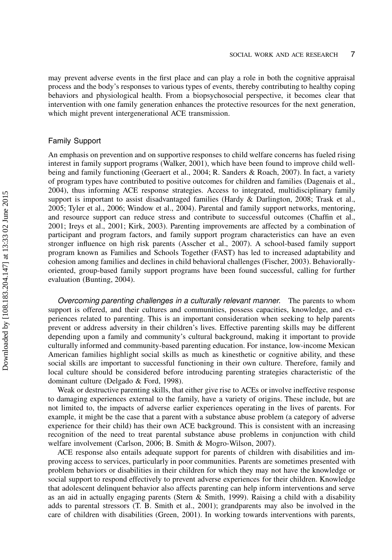may prevent adverse events in the first place and can play a role in both the cognitive appraisal process and the body's responses to various types of events, thereby contributing to healthy coping behaviors and physiological health. From a biopsychosocial perspective, it becomes clear that intervention with one family generation enhances the protective resources for the next generation, which might prevent intergenerational ACE transmission.

# Family Support

An emphasis on prevention and on supportive responses to child welfare concerns has fueled rising interest in family support programs (Walker, 2001), which have been found to improve child wellbeing and family functioning (Geeraert et al., 2004; R. Sanders & Roach, 2007). In fact, a variety of program types have contributed to positive outcomes for children and families (Dagenais et al., 2004), thus informing ACE response strategies. Access to integrated, multidisciplinary family support is important to assist disadvantaged families (Hardy & Darlington, 2008; Trask et al., 2005; Tyler et al., 2006; Window et al., 2004). Parental and family support networks, mentoring, and resource support can reduce stress and contribute to successful outcomes (Chaffin et al., 2001; Ireys et al., 2001; Kirk, 2003). Parenting improvements are affected by a combination of participant and program factors, and family support program characteristics can have an even stronger influence on high risk parents (Asscher et al., 2007). A school-based family support program known as Families and Schools Together (FAST) has led to increased adaptability and cohesion among families and declines in child behavioral challenges (Fischer, 2003). Behaviorallyoriented, group-based family support programs have been found successful, calling for further evaluation (Bunting, 2004).

Overcoming parenting challenges in a culturally relevant manner. The parents to whom support is offered, and their cultures and communities, possess capacities, knowledge, and experiences related to parenting. This is an important consideration when seeking to help parents prevent or address adversity in their children's lives. Effective parenting skills may be different depending upon a family and community's cultural background, making it important to provide culturally informed and community-based parenting education. For instance, low-income Mexican American families highlight social skills as much as kinesthetic or cognitive ability, and these social skills are important to successful functioning in their own culture. Therefore, family and local culture should be considered before introducing parenting strategies characteristic of the dominant culture (Delgado & Ford, 1998).

Weak or destructive parenting skills, that either give rise to ACEs or involve ineffective response to damaging experiences external to the family, have a variety of origins. These include, but are not limited to, the impacts of adverse earlier experiences operating in the lives of parents. For example, it might be the case that a parent with a substance abuse problem (a category of adverse experience for their child) has their own ACE background. This is consistent with an increasing recognition of the need to treat parental substance abuse problems in conjunction with child welfare involvement (Carlson, 2006; B. Smith & Mogro-Wilson, 2007).

ACE response also entails adequate support for parents of children with disabilities and improving access to services, particularly in poor communities. Parents are sometimes presented with problem behaviors or disabilities in their children for which they may not have the knowledge or social support to respond effectively to prevent adverse experiences for their children. Knowledge that adolescent delinquent behavior also affects parenting can help inform interventions and serve as an aid in actually engaging parents (Stern & Smith, 1999). Raising a child with a disability adds to parental stressors (T. B. Smith et al., 2001); grandparents may also be involved in the care of children with disabilities (Green, 2001). In working towards interventions with parents,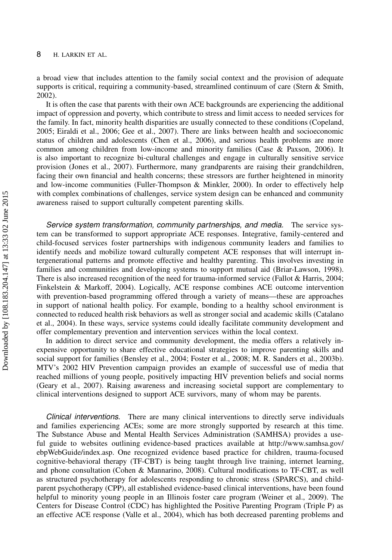a broad view that includes attention to the family social context and the provision of adequate supports is critical, requiring a community-based, streamlined continuum of care (Stern & Smith, 2002).

It is often the case that parents with their own ACE backgrounds are experiencing the additional impact of oppression and poverty, which contribute to stress and limit access to needed services for the family. In fact, minority health disparities are usually connected to these conditions (Copeland, 2005; Eiraldi et al., 2006; Gee et al., 2007). There are links between health and socioeconomic status of children and adolescents (Chen et al., 2006), and serious health problems are more common among children from low-income and minority families (Case & Paxson, 2006). It is also important to recognize bi-cultural challenges and engage in culturally sensitive service provision (Jones et al., 2007). Furthermore, many grandparents are raising their grandchildren, facing their own financial and health concerns; these stressors are further heightened in minority and low-income communities (Fuller-Thompson & Minkler, 2000). In order to effectively help with complex combinations of challenges, service system design can be enhanced and community awareness raised to support culturally competent parenting skills.

Service system transformation, community partnerships, and media. The service system can be transformed to support appropriate ACE responses. Integrative, family-centered and child-focused services foster partnerships with indigenous community leaders and families to identify needs and mobilize toward culturally competent ACE responses that will interrupt intergenerational patterns and promote effective and healthy parenting. This involves investing in families and communities and developing systems to support mutual aid (Briar-Lawson, 1998). There is also increased recognition of the need for trauma-informed service (Fallot & Harris, 2004; Finkelstein & Markoff, 2004). Logically, ACE response combines ACE outcome intervention with prevention-based programming offered through a variety of means—these are approaches in support of national health policy. For example, bonding to a healthy school environment is connected to reduced health risk behaviors as well as stronger social and academic skills (Catalano et al., 2004). In these ways, service systems could ideally facilitate community development and offer complementary prevention and intervention services within the local context.

In addition to direct service and community development, the media offers a relatively inexpensive opportunity to share effective educational strategies to improve parenting skills and social support for families (Bensley et al., 2004; Foster et al., 2008; M. R. Sanders et al., 2003b). MTV's 2002 HIV Prevention campaign provides an example of successful use of media that reached millions of young people, positively impacting HIV prevention beliefs and social norms (Geary et al., 2007). Raising awareness and increasing societal support are complementary to clinical interventions designed to support ACE survivors, many of whom may be parents.

Clinical interventions. There are many clinical interventions to directly serve individuals and families experiencing ACEs; some are more strongly supported by research at this time. The Substance Abuse and Mental Health Services Administration (SAMHSA) provides a useful guide to websites outlining evidence-based practices available at http://www.samhsa.gov/ ebpWebGuide/index.asp. One recognized evidence based practice for children, trauma-focused cognitive-behavioral therapy (TF-CBT) is being taught through live training, internet learning, and phone consultation (Cohen & Mannarino, 2008). Cultural modifications to TF-CBT, as well as structured psychotherapy for adolescents responding to chronic stress (SPARCS), and childparent psychotherapy (CPP), all established evidence-based clinical interventions, have been found helpful to minority young people in an Illinois foster care program (Weiner et al., 2009). The Centers for Disease Control (CDC) has highlighted the Positive Parenting Program (Triple P) as an effective ACE response (Valle et al., 2004), which has both decreased parenting problems and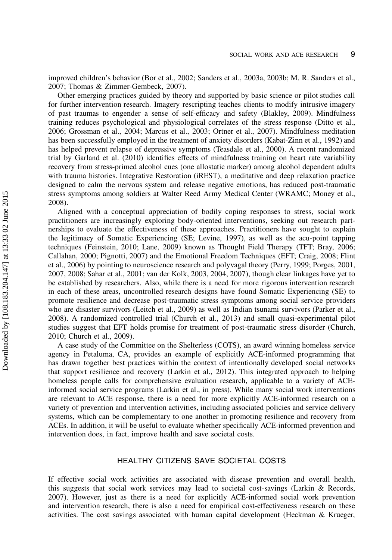improved children's behavior (Bor et al., 2002; Sanders et al., 2003a, 2003b; M. R. Sanders et al., 2007; Thomas & Zimmer-Gembeck, 2007).

Other emerging practices guided by theory and supported by basic science or pilot studies call for further intervention research. Imagery rescripting teaches clients to modify intrusive imagery of past traumas to engender a sense of self-efficacy and safety (Blakley, 2009). Mindfulness training reduces psychological and physiological correlates of the stress response (Ditto et al., 2006; Grossman et al., 2004; Marcus et al., 2003; Ortner et al., 2007). Mindfulness meditation has been successfully employed in the treatment of anxiety disorders (Kabat-Zinn et al., 1992) and has helped prevent relapse of depressive symptoms (Teasdale et al., 2000). A recent randomized trial by Garland et al. (2010) identifies effects of mindfulness training on heart rate variability recovery from stress-primed alcohol cues (one allostatic marker) among alcohol dependent adults with trauma histories. Integrative Restoration (iREST), a meditative and deep relaxation practice designed to calm the nervous system and release negative emotions, has reduced post-traumatic stress symptoms among soldiers at Walter Reed Army Medical Center (WRAMC; Money et al., 2008).

Aligned with a conceptual appreciation of bodily coping responses to stress, social work practitioners are increasingly exploring body-oriented interventions, seeking out research partnerships to evaluate the effectiveness of these approaches. Practitioners have sought to explain the legitimacy of Somatic Experiencing (SE; Levine, 1997), as well as the acu-point tapping techniques (Feinstein, 2010; Lane, 2009) known as Thought Field Therapy (TFT; Bray, 2006; Callahan, 2000; Pignotti, 2007) and the Emotional Freedom Techniques (EFT; Craig, 2008; Flint et al., 2006) by pointing to neuroscience research and polyvagal theory (Perry, 1999; Porges, 2001, 2007, 2008; Sahar et al., 2001; van der Kolk, 2003, 2004, 2007), though clear linkages have yet to be established by researchers. Also, while there is a need for more rigorous intervention research in each of these areas, uncontrolled research designs have found Somatic Experiencing (SE) to promote resilience and decrease post-traumatic stress symptoms among social service providers who are disaster survivors (Leitch et al., 2009) as well as Indian tsunami survivors (Parker et al., 2008). A randomized controlled trial (Church et al., 2013) and small quasi-experimental pilot studies suggest that EFT holds promise for treatment of post-traumatic stress disorder (Church, 2010; Church et al., 2009).

A case study of the Committee on the Shelterless (COTS), an award winning homeless service agency in Petaluma, CA, provides an example of explicitly ACE-informed programming that has drawn together best practices within the context of intentionally developed social networks that support resilience and recovery (Larkin et al., 2012). This integrated approach to helping homeless people calls for comprehensive evaluation research, applicable to a variety of ACEinformed social service programs (Larkin et al., in press). While many social work interventions are relevant to ACE response, there is a need for more explicitly ACE-informed research on a variety of prevention and intervention activities, including associated policies and service delivery systems, which can be complementary to one another in promoting resilience and recovery from ACEs. In addition, it will be useful to evaluate whether specifically ACE-informed prevention and intervention does, in fact, improve health and save societal costs.

#### HEALTHY CITIZENS SAVE SOCIETAL COSTS

If effective social work activities are associated with disease prevention and overall health, this suggests that social work services may lead to societal cost-savings (Larkin & Records, 2007). However, just as there is a need for explicitly ACE-informed social work prevention and intervention research, there is also a need for empirical cost-effectiveness research on these activities. The cost savings associated with human capital development (Heckman & Krueger,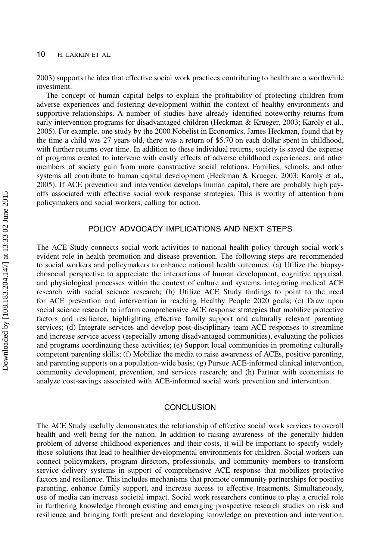2003) supports the idea that effective social work practices contributing to health are a worthwhile investment.

The concept of human capital helps to explain the profitability of protecting children from adverse experiences and fostering development within the context of healthy environments and supportive relationships. A number of studies have already identified noteworthy returns from early intervention programs for disadvantaged children (Heckman & Krueger, 2003; Karoly et al., 2005). For example, one study by the 2000 Nobelist in Economics, James Heckman, found that by the time a child was 27 years old, there was a return of \$5.70 on each dollar spent in childhood, with further returns over time. In addition to these individual returns, society is saved the expense of programs created to intervene with costly effects of adverse childhood experiences, and other members of society gain from more constructive social relations. Families, schools, and other systems all contribute to human capital development (Heckman & Krueger, 2003; Karoly et al., 2005). If ACE prevention and intervention develops human capital, there are probably high payoffs associated with effective social work response strategies. This is worthy of attention from policymakers and social workers, calling for action.

# POLICY ADVOCACY IMPLICATIONS AND NEXT STEPS

The ACE Study connects social work activities to national health policy through social work's evident role in health promotion and disease prevention. The following steps are recommended to social workers and policymakers to enhance national health outcomes: (a) Utilize the biopsychosocial perspective to appreciate the interactions of human development, cognitive appraisal, and physiological processes within the context of culture and systems, integrating medical ACE research with social science research; (b) Utilize ACE Study findings to point to the need for ACE prevention and intervention in reaching Healthy People 2020 goals; (c) Draw upon social science research to inform comprehensive ACE response strategies that mobilize protective factors and resilience, highlighting effective family support and culturally relevant parenting services; (d) Integrate services and develop post-disciplinary team ACE responses to streamline and increase service access (especially among disadvantaged communities), evaluating the policies and programs coordinating these activities; (e) Support local communities in promoting culturally competent parenting skills; (f) Mobilize the media to raise awareness of ACEs, positive parenting, and parenting supports on a population-wide basis; (g) Pursue ACE-informed clinical intervention, community development, prevention, and services research; and (h) Partner with economists to analyze cost-savings associated with ACE-informed social work prevention and intervention.

# **CONCLUSION**

The ACE Study usefully demonstrates the relationship of effective social work services to overall health and well-being for the nation. In addition to raising awareness of the generally hidden problem of adverse childhood experiences and their costs, it will be important to specify widely those solutions that lead to healthier developmental environments for children. Social workers can connect policymakers, program directors, professionals, and community members to transform service delivery systems in support of comprehensive ACE response that mobilizes protective factors and resilience. This includes mechanisms that promote community partnerships for positive parenting, enhance family support, and increase access to effective treatments. Simultaneously, use of media can increase societal impact. Social work researchers continue to play a crucial role in furthering knowledge through existing and emerging prospective research studies on risk and resilience and bringing forth present and developing knowledge on prevention and intervention.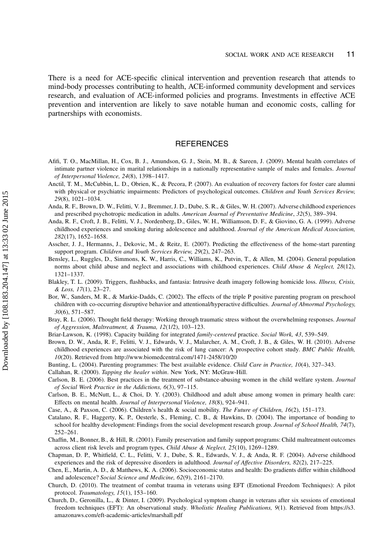There is a need for ACE-specific clinical intervention and prevention research that attends to mind-body processes contributing to health, ACE-informed community development and services research, and evaluation of ACE-informed policies and programs. Investments in effective ACE prevention and intervention are likely to save notable human and economic costs, calling for partnerships with economists.

# **REFERENCES**

- Afifi, T. O., MacMillan, H., Cox, B. J., Amundson, G. J., Stein, M. B., & Sareen, J. (2009). Mental health correlates of intimate partner violence in marital relationships in a nationally representative sample of males and females. Journal of Interpersonal Violence, 24(8), 1398–1417.
- Anctil, T. M., McCubbin, L. D., Obrien, K., & Pecora, P. (2007). An evaluation of recovery factors for foster care alumni with physical or psychiatric impairments: Predictors of psychological outcomes. Children and Youth Services Review, 29(8), 1021–1034.
- Anda, R. F., Brown, D. W., Felitti, V. J., Bremmer, J. D., Dube, S. R., & Giles, W. H. (2007). Adverse childhood experiences and prescribed psychotropic medication in adults. American Journal of Preventative Medicine, 32(5), 389–394.
- Anda, R. F., Croft, J. B., Felitti, V. J., Nordenberg, D., Giles, W. H., Williamson, D. F., & Giovino, G. A. (1999). Adverse childhood experiences and smoking during adolescence and adulthood. Journal of the American Medical Association, 282(17), 1652–1658.
- Asscher, J. J., Hermanns, J., Dekovic, M., & Reitz, E. (2007). Predicting the effectiveness of the home-start parenting support program. Children and Youth Services Review, 29(2), 247–263.
- Bensley, L., Ruggles, D., Simmons, K. W., Harris, C., Williams, K., Putvin, T., & Allen, M. (2004). General population norms about child abuse and neglect and associations with childhood experiences. Child Abuse & Neglect, 28(12), 1321–1337.
- Blakley, T. L. (2009). Triggers, flashbacks, and fantasia: Intrusive death imagery following homicide loss. Illness, Crisis, & Loss, 17(1), 23–27.
- Bor, W., Sanders, M. R., & Markie-Dadds, C. (2002). The effects of the triple P positive parenting program on preschool children with co-occurring disruptive behavior and attentional/hyperactive difficulties. Journal of Abnormal Psychology, 30(6), 571–587.
- Bray, R. L. (2006). Thought field therapy: Working through traumatic stress without the overwhelming responses. Journal of Aggression, Maltreatment, & Trauma, 12(1/2), 103–123.
- Briar-Lawson, K. (1998). Capacity building for integrated family-centered practice. Social Work, 43, 539–549.
- Brown, D. W., Anda, R. F., Felitti, V. J., Edwards, V. J., Malarcher, A. M., Croft, J. B., & Giles, W. H. (2010). Adverse childhood experiences are associated with the risk of lung cancer: A prospective cohort study. BMC Public Health, 10(20). Retrieved from http://www.biomedcentral.com/1471-2458/10/20
- Bunting, L. (2004). Parenting programmes: The best available evidence. Child Care in Practice, 10(4), 327–343.
- Callahan, R. (2000). Tapping the healer within. New York, NY: McGraw-Hill.
- Carlson, B. E. (2006). Best practices in the treatment of substance-abusing women in the child welfare system. Journal of Social Work Practice in the Addictions, 6(3), 97–115.
- Carlson, B. E., McNutt, L., & Choi, D. Y. (2003). Childhood and adult abuse among women in primary health care: Effects on mental health. Journal of Interpersonal Violence, 18(8), 924–941.
- Case, A., & Paxson, C. (2006). Children's health & social mobility. The Future of Children, 16(2), 151–173.
- Catalano, R. F., Haggerty, K. P., Oesterle, S., Fleming, C. B., & Hawkins, D. (2004). The importance of bonding to school for healthy development: Findings from the social development research group. Journal of School Health, 74(7), 252–261.
- Chaffin, M., Bonner, B., & Hill, R. (2001). Family preservation and family support programs: Child maltreatment outcomes across client risk levels and program types, Child Abuse & Neglect, 25(10), 1269–1289.
- Chapman, D. P., Whitfield, C. L., Felitti, V. J., Dube, S. R., Edwards, V. J., & Anda, R. F. (2004). Adverse childhood experiences and the risk of depressive disorders in adulthood. Journal of Affective Disorders, 82(2), 217–225.
- Chen, E., Martin, A. D., & Matthews, K. A. (2006). Socioeconomic status and health: Do gradients differ within childhood and adolescence? Social Science and Medicine, 62(9), 2161–2170.
- Church, D. (2010). The treatment of combat trauma in veterans using EFT (Emotional Freedom Techniques): A pilot protocol. Traumatology, 15(1), 153-160.
- Church, D., Geronilla, L., & Dinter, I. (2009). Psychological symptom change in veterans after six sessions of emotional freedom techniques (EFT): An observational study. Wholistic Healing Publications, 9(1). Retrieved from https://s3. amazonaws.com/eft-academic-articles/marshall.pdf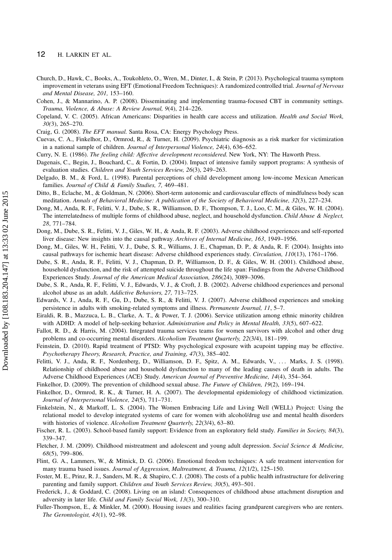- Church, D., Hawk, C., Books, A., Toukohleto, O., Wren, M., Dinter, I., & Stein, P. (2013). Psychological trauma symptom improvement in veterans using EFT (Emotional Freedom Techniques): A randomized controlled trial. Journal of Nervous and Mental Disease, 201, 153–160.
- Cohen, J., & Mannarino, A. P. (2008). Disseminating and implementing trauma-focused CBT in community settings. Trauma, Violence, & Abuse: A Review Journal, 9(4), 214–226.
- Copeland, V. C. (2005). African Americans: Disparities in health care access and utilization. Health and Social Work, 30(3), 265–270.
- Craig, G. (2008). The EFT manual. Santa Rosa, CA: Energy Psychology Press.
- Cuevas, C. A., Finkelhor, D., Ormrod, R., & Turner, H. (2009). Psychiatric diagnosis as a risk marker for victimization in a national sample of children. Journal of Interpersonal Violence, 24(4), 636–652.
- Curry, N. E. (1986). The feeling child: Affective development reconsidered. New York, NY: The Haworth Press.
- Dagenais, C., Begin, J., Bouchard, C., & Fortin, D. (2004). Impact of intensive family support programs: A synthesis of evaluation studies. Children and Youth Services Review, 26(3), 249–263.
- Delgado, B. M., & Ford, L. (1998). Parental perceptions of child development among low-income Mexican American families. Journal of Child & Family Studies, 7, 469-481.
- Ditto, B., Eclache, M., & Goldman, N. (2006). Short-term autonomic and cardiovascular effects of mindfulness body scan meditation. Annals of Behavioral Medicine: A publication of the Society of Behavioral Medicine, 32(3), 227–234.
- Dong, M., Anda, R. F., Felitti, V. J., Dube, S. R., Williamson, D. F., Thompson, T. J., Loo, C. M., & Giles, W. H. (2004). The interrelatedness of multiple forms of childhood abuse, neglect, and household dysfunction. Child Abuse & Neglect, 28, 771–784.
- Dong, M., Dube, S. R., Felitti, V. J., Giles, W. H., & Anda, R. F. (2003). Adverse childhood experiences and self-reported liver disease: New insights into the causal pathway. Archives of Internal Medicine, 163, 1949–1956.
- Dong, M., Giles, W. H., Felitti, V. J., Dube, S. R., Williams, J. E., Chapman, D. P., & Anda, R. F. (2004). Insights into causal pathways for ischemic heart disease: Adverse childhood experiences study. Circulation, 110(13), 1761–1766.
- Dube, S. R., Anda, R. F., Felitti, V. J., Chapman, D. P., Williamson, D. F., & Giles, W. H. (2001). Childhood abuse, household dysfunction, and the risk of attempted suicide throughout the life span: Findings from the Adverse Childhood Experiences Study. Journal of the American Medical Association, 286(24), 3089–3096.
- Dube, S. R., Anda, R. F., Felitti, V. J., Edwards, V. J., & Croft, J. B. (2002). Adverse childhood experiences and personal alcohol abuse as an adult. Addictive Behaviors, 27, 713–725.
- Edwards, V. J., Anda, R. F., Gu, D., Dube, S. R., & Felitti, V. J. (2007). Adverse childhood experiences and smoking persistence in adults with smoking-related symptoms and illness. Permanente Journal, 11, 5–7.
- Eiraldi, R. B., Mazzuca, L. B., Clarke, A. T., & Power, T. J. (2006). Service utilization among ethnic minority children with ADHD: A model of help-seeking behavior. Administration and Policy in Mental Health, 33(5), 607-622.
- Fallot, R. D., & Harris, M. (2004). Integrated trauma services teams for women survivors with alcohol and other drug problems and co-occurring mental disorders. Alcoholism Treatment Quarterly, 22(3/4), 181-199.
- Feinstein, D. (2010). Rapid treatment of PTSD: Why psychological exposure with acupoint tapping may be effective. Psychotherapy Theory, Research, Practice, and Training, 47(3), 385–402.
- Felitti, V. J., Anda, R. F., Nordenberg, D., Williamson, D. F., Spitz, A. M., Edwards, V., ... Marks, J. S. (1998). Relationship of childhood abuse and household dysfunction to many of the leading causes of death in adults. The Adverse Childhood Experiences (ACE) Study. American Journal of Preventive Medicine, 14(4), 354–364.
- Finkelhor, D. (2009). The prevention of childhood sexual abuse. The Future of Children, 19(2), 169–194.
- Finkelhor, D., Ormrod, R. K., & Turner, H. A. (2007). The developmental epidemiology of childhood victimization. Journal of Interpersonal Violence, 24(5), 711–731.
- Finkelstein, N., & Markoff, L. S. (2004). The Women Embracing Life and Living Well (WELL) Project: Using the relational model to develop integrated systems of care for women with alcohol/drug use and mental health disorders with histories of violence. Alcoholism Treatment Quarterly, 22(3/4), 63–80.
- Fischer, R. L. (2003). School-based family support: Evidence from an exploratory field study. Families in Society, 84(3), 339–347.
- Fletcher, J. M. (2009). Childhood mistreatment and adolescent and young adult depression. Social Science & Medicine, 68(5), 799–806.
- Flint, G. A., Lammers, W., & Mitnick, D. G. (2006). Emotional freedom techniques: A safe treatment intervention for many trauma based issues. Journal of Aggression, Maltreatment, & Trauma, 12(1/2), 125–150.
- Foster, M. E., Prinz, R. J., Sanders, M. R., & Shapiro, C. J. (2008). The costs of a public health infrastructure for delivering parenting and family support. Children and Youth Services Review, 30(5), 493-501.
- Frederick, J., & Goddard, C. (2008). Living on an island: Consequences of childhood abuse attachment disruption and adversity in later life. Child and Family Social Work, 13(3), 300–310.
- Fuller-Thompson, E., & Minkler, M. (2000). Housing issues and realities facing grandparent caregivers who are renters. The Gerontologist, 43(1), 92–98.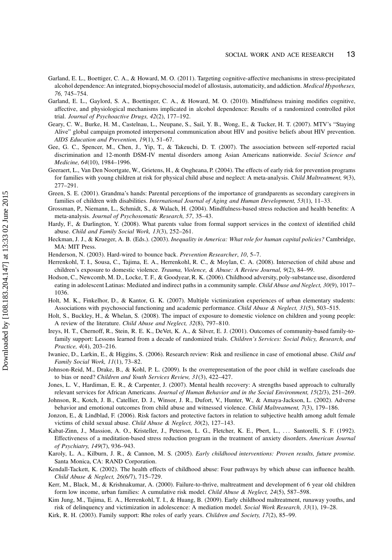- Garland, E. L., Boettiger, C. A., & Howard, M. O. (2011). Targeting cognitive-affective mechanisms in stress-precipitated alcohol dependence: An integrated, biopsychosocial model of allostasis, automaticity, and addiction. Medical Hypotheses, 76, 745–754.
- Garland, E. L., Gaylord, S. A., Boettinger, C. A., & Howard, M. O. (2010). Mindfulness training modifies cognitive, affective, and physiological mechanisms implicated in alcohol dependence: Results of a randomized controlled pilot trial. Journal of Psychoactive Drugs, 42(2), 177–192.
- Geary, C. W., Burke, H. M., Castelnau, L., Neupane, S., Sail, Y. B., Wong, E., & Tucker, H. T. (2007). MTV's "Staying Alive" global campaign promoted interpersonal communication about HIV and positive beliefs about HIV prevention. AIDS Education and Prevention, 19(1), 51–67.
- Gee, G. C., Spencer, M., Chen, J., Yip, T., & Takeuchi, D. T. (2007). The association between self-reported racial discrimination and 12-month DSM-IV mental disorders among Asian Americans nationwide. Social Science and Medicine, 64(10), 1984–1996.
- Geeraert, L., Van Den Noortgate, W., Grietens, H., & Ongheana, P. (2004). The effects of early risk for prevention programs for families with young children at risk for physical child abuse and neglect: A meta-analysis. Child Maltreatment, 9(3), 277–291.
- Green, S. E. (2001). Grandma's hands: Parental perceptions of the importance of grandparents as secondary caregivers in families of children with disabilities. International Journal of Aging and Human Development, 53(1), 11-33.
- Grossman, P., Niemann, L., Schmidt, S., & Walach, H. (2004). Mindfulness-based stress reduction and health benefits: A meta-analysis. Journal of Psychosomatic Research, 57, 35–43.
- Hardy, F., & Darlington, Y. (2008). What parents value from formal support services in the context of identified child abuse. Child and Family Social Work, 13(3), 252–261.
- Heckman, J. J., & Krueger, A. B. (Eds.). (2003). Inequality in America: What role for human capital policies? Cambridge, MA: MIT Press.
- Henderson, N. (2003). Hard-wired to bounce back. Prevention Researcher, 10, 5–7.
- Herrenkohl, T. I., Sousa, C., Tajima, E. A., Herrenkohl, R. C., & Moylan, C. A. (2008). Intersection of child abuse and children's exposure to domestic violence. Trauma, Violence, & Abuse: A Review Journal, 9(2), 84–99.
- Hodson, C., Newcomb, M. D., Locke, T. F., & Goodyear, R. K. (2006). Childhood adversity, poly-substance use, disordered eating in adolescent Latinas: Mediated and indirect paths in a community sample. Child Abuse and Neglect, 30(9), 1017– 1036.
- Holt, M. K., Finkelhor, D., & Kantor, G. K. (2007). Multiple victimization experiences of urban elementary students: Associations with psychosocial functioning and academic performance. Child Abuse & Neglect, 31(5), 503–515.
- Holt, S., Buckley, H., & Whelan, S. (2008). The impact of exposure to domestic violence on children and young people: A review of the literature. Child Abuse and Neglect, 32(8), 797–810.
- Ireys, H. T., Chernoff, R., Stein, R. E. K., DeVet, K. A., & Silver, E. J. (2001). Outcomes of community-based family-tofamily support: Lessons learned from a decade of randomized trials. Children's Services: Social Policy, Research, and Practice, 4(4), 203–216.
- Iwaniec, D., Larkin, E., & Higgins, S. (2006). Research review: Risk and resilience in case of emotional abuse. Child and Family Social Work, 11(1), 73–82.
- Johnson-Reid, M., Drake, B., & Kohl, P. L. (2009). Is the overrepresentation of the poor child in welfare caseloads due to bias or need? Children and Youth Services Review, 31(3), 422–427.
- Jones, L. V., Hardiman, E. R., & Carpenter, J. (2007). Mental health recovery: A strengths based approach to culturally relevant services for African Americans. Journal of Human Behavior and in the Social Environment, 15(2/3), 251–269.
- Johnson, R., Kotch, J. B., Catellier, D. J., Winsor, J. R., Dufort, V., Hunter, W., & Amaya-Jackson, L. (2002). Adverse behavior and emotional outcomes from child abuse and witnessed violence. Child Maltreatment, 7(3), 179–186.
- Jonzon, E., & Lindblad, F. (2006). Risk factors and protective factors in relation to subjective health among adult female victims of child sexual abuse. Child Abuse & Neglect, 30(2), 127–143.
- Kabat-Zinn, J., Massion, A. O., Kristeller, J., Peterson, L. G., Fletcher, K. E., Pbert, L., ... Santorelli, S. F. (1992). Effectiveness of a meditation-based stress reduction program in the treatment of anxiety disorders. American Journal of Psychiatry, 149(7), 936–943.
- Karoly, L. A., Kilburn, J. R., & Cannon, M. S. (2005). Early childhood interventions: Proven results, future promise. Santa Monica, CA: RAND Corporation.
- Kendall-Tackett, K. (2002). The health effects of childhood abuse: Four pathways by which abuse can influence health. Child Abuse & Neglect, 26(6/7), 715–729.
- Kerr, M., Black, M., & Krishnakumar, A. (2000). Failure-to-thrive, maltreatment and development of 6 year old children form low income, urban families: A cumulative risk model. Child Abuse & Neglect, 24(5), 587–598.
- Kim Jung, M., Tajima, E. A., Herrenkohl, T. I., & Huang, B. (2009). Early childhood maltreatment, runaway youths, and risk of delinquency and victimization in adolescence: A mediation model. Social Work Research, 33(1), 19–28.
- Kirk, R. H. (2003). Family support: Rhe roles of early years. Children and Society, 17(2), 85–99.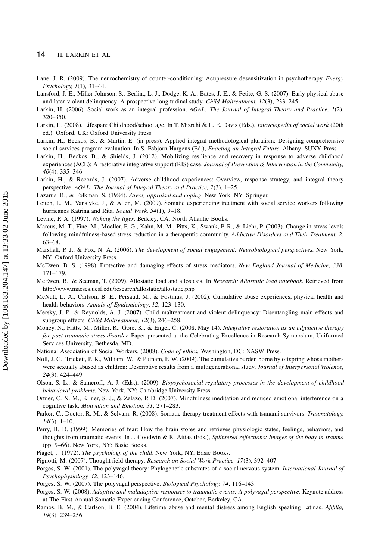- Lane, J. R. (2009). The neurochemistry of counter-conditioning: Acupressure desensitization in psychotherapy. *Energy* Psychology, 1(1), 31–44.
- Lansford, J. E., Miller-Johnson, S., Berlin., L. J., Dodge, K. A., Bates, J. E., & Petite, G. S. (2007). Early physical abuse and later violent delinquency: A prospective longitudinal study. Child Maltreatment, 12(3), 233–245.
- Larkin, H. (2006). Social work as an integral profession. AOAL: The Journal of Integral Theory and Practice, 1(2), 320–350.
- Larkin, H. (2008). Lifespan: Childhood/school age. In T. Mizrahi & L. E. Davis (Eds.), Encyclopedia of social work (20th ed.). Oxford, UK: Oxford University Press.
- Larkin, H., Beckos, B., & Martin, E. (in press). Applied integral methodological pluralism: Designing comprehensive social services program evaluation. In S. Esbjorn-Hargens (Ed.), *Enacting an Integral Future*. Albany: SUNY Press.
- Larkin, H., Beckos, B., & Shields, J. (2012). Mobilizing resilience and recovery in response to adverse childhood experiences (ACE): A restorative integrative support (RIS) case. Journal of Prevention & Intervention in the Community, 40(4), 335–346.
- Larkin, H., & Records, J. (2007). Adverse childhood experiences: Overview, response strategy, and integral theory perspective. AQAL: The Journal of Integral Theory and Practice, 2(3), 1–25.
- Lazarus, R., & Folkman, S. (1984). Stress, appraisal and coping. New York, NY: Springer.
- Leitch, L. M., Vanslyke, J., & Allen, M. (2009). Somatic experiencing treatment with social service workers following hurricanes Katrina and Rita. Social Work, 54(1), 9-18.
- Levine, P. A. (1997). Waking the tiger. Berkley, CA: North Atlantic Books.
- Marcus, M. T., Fine, M., Moeller, F. G., Kahn, M. M., Pitts, K., Swank, P. R., & Liehr, P. (2003). Change in stress levels following mindfulness-based stress reduction in a therapeutic community. Addictive Disorders and Their Treatment, 2, 63–68.
- Marshall, P. J., & Fox, N. A. (2006). The development of social engagement: Neurobiological perspectives. New York, NY: Oxford University Press.
- McEwen, B. S. (1998). Protective and damaging effects of stress mediators. New England Journal of Medicine, 338, 171–179.
- McEwen, B., & Seeman, T. (2009). Allostatic load and allostasis. In Research: Allostatic load notebook. Retrieved from http://www.macses.ucsf.edu/research/allostatic/allostatic.php
- McNutt, L. A., Carlson, B. E., Persaud, M., & Postmus, J. (2002). Cumulative abuse experiences, physical health and health behaviors. Annals of Epidemiology, 12, 123-130.
- Mersky, J. P., & Reynolds, A. J. (2007). Child maltreatment and violent delinquency: Disentangling main effects and subgroup effects. Child Maltreatment, 12(3), 246–258.
- Money, N., Fritts, M., Miller, R., Gore, K., & Engel, C. (2008, May 14). Integrative restoration as an adjunctive therapy for post-traumatic stress disorder. Paper presented at the Celebrating Excellence in Research Symposium, Uniformed Services University, Bethesda, MD.
- National Association of Social Workers. (2008). Code of ethics. Washington, DC: NASW Press.
- Noll, J. G., Trickett, P. K., William, W., & Putnam, F. W. (2009). The cumulative burden borne by offspring whose mothers were sexually abused as children: Descriptive results from a multigenerational study. Journal of Interpersonal Violence, 24(3), 424–449.
- Olson, S. L., & Sameroff, A. J. (Eds.). (2009). Biopsychosocial regulatory processes in the development of childhood behavioral problems. New York, NY: Cambridge University Press.
- Ortner, C. N. M., Kilner, S. J., & Zelazo, P. D. (2007). Mindfulness meditation and reduced emotional interference on a cognitive task. Motivation and Emotion, 31, 271–283.
- Parker, C., Doctor, R. M., & Selvam, R. (2008). Somatic therapy treatment effects with tsunami survivors. Traumatology,  $14(3)$ , 1-10.
- Perry, B. D. (1999). Memories of fear: How the brain stores and retrieves physiologic states, feelings, behaviors, and thoughts from traumatic events. In J. Goodwin & R. Attias (Eds.), Splintered reflections: Images of the body in trauma (pp. 9–66). New York, NY: Basic Books.
- Piaget, J. (1972). The psychology of the child. New York, NY: Basic Books.
- Pignotti, M. (2007). Thought field therapy. Research on Social Work Practice, 17(3), 392–407.
- Porges, S. W. (2001). The polyvagal theory: Phylogenetic substrates of a social nervous system. International Journal of Psychophysiology, 42, 123–146.
- Porges, S. W. (2007). The polyvagal perspective. Biological Psychology, 74, 116-143.
- Porges, S. W. (2008). Adaptive and maladaptive responses to traumatic events: A polyvagal perspective. Keynote address at The First Annual Somatic Experiencing Conference, October, Berkeley, CA.
- Ramos, B. M., & Carlson, B. E. (2004). Lifetime abuse and mental distress among English speaking Latinas. Afifilia, 19(3), 239–256.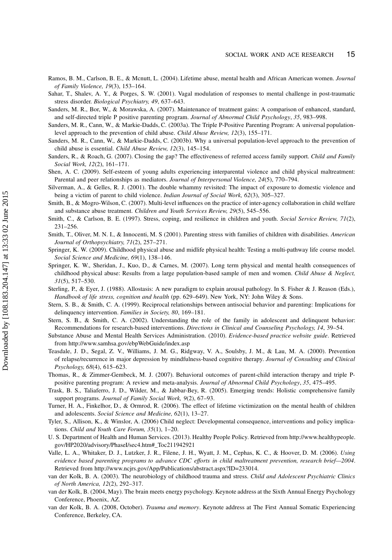- Ramos, B. M., Carlson, B. E., & Mcnutt, L. (2004). Lifetime abuse, mental health and African American women. Journal of Family Violence, 19(3), 153–164.
- Sahar, T., Shalev, A. Y., & Porges, S. W. (2001). Vagal modulation of responses to mental challenge in post-traumatic stress disorder. Biological Psychiatry, 49, 637–643.
- Sanders, M. R., Bor, W., & Morawska, A. (2007). Maintenance of treatment gains: A comparison of enhanced, standard, and self-directed triple P positive parenting program. Journal of Abnormal Child Psychology, 35, 983–998.
- Sanders, M. R., Cann, W., & Markie-Dadds, C. (2003a). The Triple P-Positive Parenting Program: A universal populationlevel approach to the prevention of child abuse. Child Abuse Review, 12(3), 155–171.
- Sanders, M. R., Cann, W., & Markie-Dadds, C. (2003b). Why a universal population-level approach to the prevention of child abuse is essential. Child Abuse Review, 12(3), 145–154.
- Sanders, R., & Roach, G. (2007). Closing the gap? The effectiveness of referred access family support. Child and Family Social Work, 12(2), 161–171.
- Shen, A. C. (2009). Self-esteem of young adults experiencing interparental violence and child physical maltreatment: Parental and peer relationships as mediators. Journal of Interpersonal Violence, 24(5), 770–794.
- Silverman, A., & Gelles, R. J. (2001). The double whammy revisited: The impact of exposure to domestic violence and being a victim of parent to child violence. Indian Journal of Social Work, 62(3), 305–327.
- Smith, B., & Mogro-Wilson, C. (2007). Multi-level influences on the practice of inter-agency collaboration in child welfare and substance abuse treatment. Children and Youth Services Review, 29(5), 545–556.
- Smith, C., & Carlson, B. E. (1997). Stress, coping, and resilience in children and youth. Social Service Review, 71(2), 231–256.
- Smith, T., Oliver, M. N. I., & Innocenti, M. S (2001). Parenting stress with families of children with disabilities. American Journal of Orthopsychiatry, 71(2), 257–271.
- Springer, K. W. (2009). Childhood physical abuse and midlife physical health: Testing a multi-pathway life course model. Social Science and Medicine, 69(1), 138–146.
- Springer, K. W., Sheridan, J., Kuo, D., & Carnes, M. (2007). Long term physical and mental health consequences of childhood physical abuse: Results from a large population-based sample of men and women. Child Abuse & Neglect, 31(5), 517–530.
- Sterling, P., & Eyer, J. (1988). Allostasis: A new paradigm to explain arousal pathology. In S. Fisher & J. Reason (Eds.), Handbook of life stress, cognition and health (pp. 629–649). New York, NY: John Wiley & Sons.
- Stern, S. B., & Smith, C. A. (1999). Reciprocal relationships between antisocial behavior and parenting: Implications for delinquency intervention. Families in Society, 80, 169–181.
- Stern, S. B., & Smith, C. A. (2002). Understanding the role of the family in adolescent and delinquent behavior: Recommendations for research-based interventions. Directions in Clinical and Counseling Psychology, 14, 39–54.
- Substance Abuse and Mental Health Services Administration. (2010). Evidence-based practice website guide. Retrieved from http://www.samhsa.gov/ebpWebGuide/index.asp
- Teasdale, J. D., Segal, Z. V., Williams, J. M. G., Ridgway, V. A., Soulsby, J. M., & Lau, M. A. (2000). Prevention of relapse/recurrence in major depression by mindfulness-based cognitive therapy. Journal of Consulting and Clinical Psychology, 68(4), 615–623.
- Thomas, R., & Zimmer-Gembeck, M. J. (2007). Behavioral outcomes of parent-child interaction therapy and triple Ppositive parenting program: A review and meta-analysis. Journal of Abnormal Child Psychology, 35, 475–495.
- Trask, B. S., Taliaferro, J. D., Wilder, M., & Jabbar-Bey, R. (2005). Emerging trends: Holistic comprehensive family support programs. Journal of Family Social Work, 9(2), 67–93.
- Turner, H. A., Finkelhor, D., & Ormrod, R. (2006). The effect of lifetime victimization on the mental health of children and adolescents. Social Science and Medicine, 62(1), 13–27.
- Tyler, S., Allison, K., & Winslor, A. (2006) Child neglect: Developmental consequence, interventions and policy implications. Child and Youth Care Forum, 35(1), 1–20.
- U. S. Department of Health and Human Services. (2013). Healthy People Policy. Retrieved from http://www.healthypeople. gov/HP2020/advisory/PhaseI/sec4.htm#\_Toc211942921
- Valle, L. A., Whitaker, D. J., Lutzker, J. R., Filene, J. H., Wyatt, J. M., Cephas, K. C., & Hoover, D. M. (2006). Using evidence based parenting programs to advance CDC efforts in child maltreatment prevention, research brief—2004. Retrieved from http://www.ncjrs.gov/App/Publications/abstract.aspx?ID=233014.
- van der Kolk, B. A. (2003). The neurobiology of childhood trauma and stress. Child and Adolescent Psychiatric Clinics of North America, 12(2), 292–317.
- van der Kolk, B. (2004, May). The brain meets energy psychology. Keynote address at the Sixth Annual Energy Psychology Conference, Phoenix, AZ.
- van der Kolk, B. A. (2008, October). Trauma and memory. Keynote address at The First Annual Somatic Experiencing Conference, Berkeley, CA.